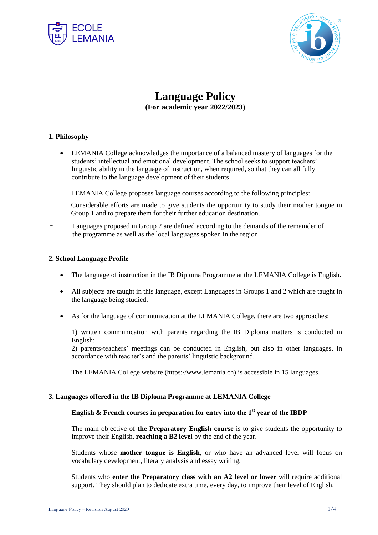



# **Language Policy**

**(For academic year 2022/2023)**

## **1. Philosophy**

 LEMANIA College acknowledges the importance of a balanced mastery of languages for the students' intellectual and emotional development. The school seeks to support teachers' linguistic ability in the language of instruction, when required, so that they can all fully contribute to the language development of their students

LEMANIA College proposes language courses according to the following principles:

Considerable efforts are made to give students the opportunity to study their mother tongue in Group 1 and to prepare them for their further education destination.

Languages proposed in Group 2 are defined according to the demands of the remainder of the programme as well as the local languages spoken in the region.

#### **2. School Language Profile**

- The language of instruction in the IB Diploma Programme at the LEMANIA College is English.
- All subjects are taught in this language, except Languages in Groups 1 and 2 which are taught in the language being studied.
- As for the language of communication at the LEMANIA College, there are two approaches:

1) written communication with parents regarding the IB Diploma matters is conducted in English;

2) parents-teachers' meetings can be conducted in English, but also in other languages, in accordance with teacher's and the parents' linguistic background.

The LEMANIA College website [\(https://www.lemania.ch\)](https://www.lemania.ch/) is accessible in 15 languages.

#### **3. Languages offered in the IB Diploma Programme at LEMANIA College**

## **English & French courses in preparation for entry into the 1 st year of the IBDP**

The main objective of **the Preparatory English course** is to give students the opportunity to improve their English, **reaching a B2 level** by the end of the year.

Students whose **mother tongue is English**, or who have an advanced level will focus on vocabulary development, literary analysis and essay writing.

Students who **enter the Preparatory class with an A2 level or lower** will require additional support. They should plan to dedicate extra time, every day, to improve their level of English.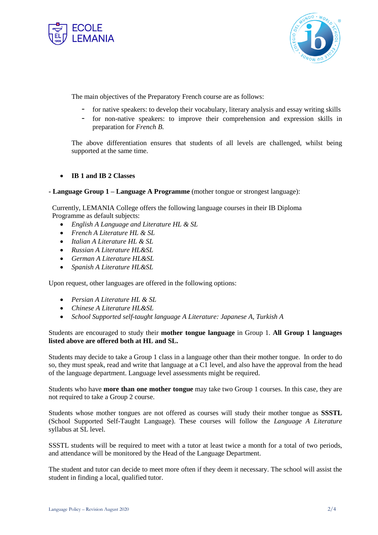



The main objectives of the Preparatory French course are as follows:

- for native speakers: to develop their vocabulary, literary analysis and essay writing skills
- for non-native speakers: to improve their comprehension and expression skills in preparation for *French B*.

The above differentiation ensures that students of all levels are challenged, whilst being supported at the same time.

## **IB 1 and IB 2 Classes**

#### **- Language Group 1 – Language A Programme** (mother tongue or strongest language):

 Currently, LEMANIA College offers the following language courses in their IB Diploma Programme as default subjects:

- *English A Language and Literature HL & SL*
- *French A Literature HL & SL*
- *Italian A Literature HL & SL*
- *Russian A Literature HL&SL*
- *German A Literature HL&SL*
- *Spanish A Literature HL&SL*

Upon request, other languages are offered in the following options:

- *Persian A Literature HL & SL*
- *Chinese A Literature HL&SL*
- *School Supported self-taught language A Literature: Japanese A, Turkish A*

## Students are encouraged to study their **mother tongue language** in Group 1. **All Group 1 languages listed above are offered both at HL and SL.**

Students may decide to take a Group 1 class in a language other than their mother tongue. In order to do so, they must speak, read and write that language at a C1 level, and also have the approval from the head of the language department. Language level assessments might be required.

Students who have **more than one mother tongue** may take two Group 1 courses. In this case, they are not required to take a Group 2 course.

Students whose mother tongues are not offered as courses will study their mother tongue as **SSSTL** (School Supported Self-Taught Language). These courses will follow the *Language A Literature* syllabus at SL level.

SSSTL students will be required to meet with a tutor at least twice a month for a total of two periods, and attendance will be monitored by the Head of the Language Department.

The student and tutor can decide to meet more often if they deem it necessary. The school will assist the student in finding a local, qualified tutor.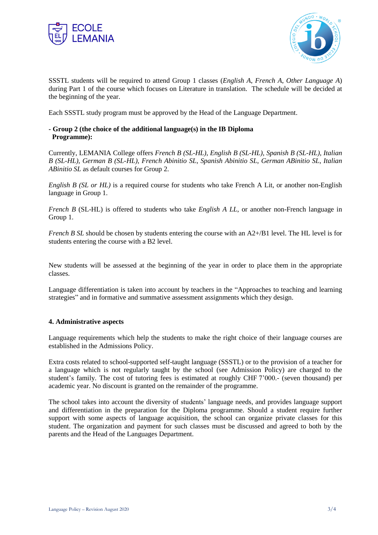



SSSTL students will be required to attend Group 1 classes (*English A*, *French A*, *Other Language A*) during Part 1 of the course which focuses on Literature in translation. The schedule will be decided at the beginning of the year.

Each SSSTL study program must be approved by the Head of the Language Department.

#### **- Group 2 (the choice of the additional language(s) in the IB Diploma Programme):**

Currently, LEMANIA College offers *French B (SL-HL)*, *English B (SL-HL), Spanish B (SL-HL), Italian B (SL-HL), German B (SL-HL), French Abinitio SL, Spanish Abinitio SL, German ABinitio SL, Italian ABinitio SL* as default courses for Group 2.

*English B (SL or HL)* is a required course for students who take French A Lit, or another non-English language in Group 1.

*French B* (SL-HL) is offered to students who take *English A LL*, or another non-French language in Group 1.

*French B SL* should be chosen by students entering the course with an A2+/B1 level. The HL level is for students entering the course with a B2 level.

New students will be assessed at the beginning of the year in order to place them in the appropriate classes.

Language differentiation is taken into account by teachers in the "Approaches to teaching and learning strategies" and in formative and summative assessment assignments which they design.

#### **4. Administrative aspects**

Language requirements which help the students to make the right choice of their language courses are established in the Admissions Policy.

Extra costs related to school-supported self-taught language (SSSTL) or to the provision of a teacher for a language which is not regularly taught by the school (see Admission Policy) are charged to the student's family. The cost of tutoring fees is estimated at roughly CHF 7'000.- (seven thousand) per academic year. No discount is granted on the remainder of the programme.

The school takes into account the diversity of students' language needs, and provides language support and differentiation in the preparation for the Diploma programme. Should a student require further support with some aspects of language acquisition, the school can organize private classes for this student. The organization and payment for such classes must be discussed and agreed to both by the parents and the Head of the Languages Department.